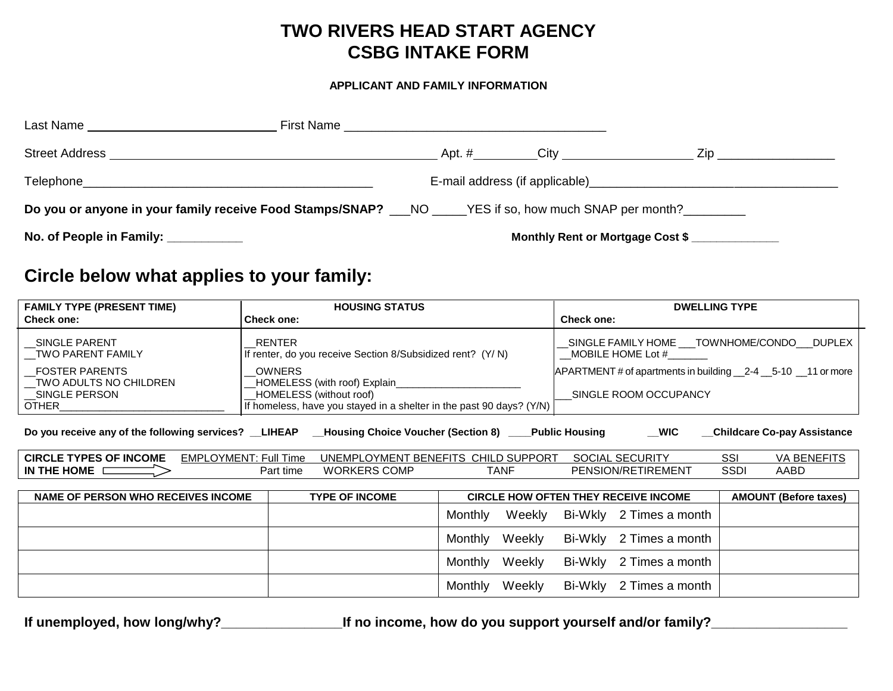# **TWO RIVERS HEAD START AGENCY CSBG INTAKE FORM**

#### **APPLICANT AND FAMILY INFORMATION**

| Last Name                                                                                                |  |             |                                                                    |  |
|----------------------------------------------------------------------------------------------------------|--|-------------|--------------------------------------------------------------------|--|
| <b>Street Address</b>                                                                                    |  | Apt. # City | Zip                                                                |  |
| Telephone<br><u> 1989 - John Stone, Amerikaansk politiker (* 1989)</u>                                   |  |             | E-mail address (if applicable) example and address (if applicable) |  |
| Do you or anyone in your family receive Food Stamps/SNAP? ___NO _____YES if so, how much SNAP per month? |  |             |                                                                    |  |
| No. of People in Family: __________                                                                      |  |             | Monthly Rent or Mortgage Cost \$                                   |  |

# **Circle below what applies to your family:**

| <b>FAMILY TYPE (PRESENT TIME)</b>                                                                                                                       | <b>HOUSING STATUS</b>                                                                 |                                                                      | <b>DWELLING TYPE</b>                                                                     |                              |  |  |
|---------------------------------------------------------------------------------------------------------------------------------------------------------|---------------------------------------------------------------------------------------|----------------------------------------------------------------------|------------------------------------------------------------------------------------------|------------------------------|--|--|
| <b>Check one:</b>                                                                                                                                       | <b>Check one:</b>                                                                     |                                                                      | <b>Check one:</b>                                                                        |                              |  |  |
| SINGLE PARENT<br><b>TWO PARENT FAMILY</b>                                                                                                               | RENTER<br>If renter, do you receive Section 8/Subsidized rent? (Y/N)                  |                                                                      | SINGLE FAMILY HOME TOWNHOME/CONDO DUPLEX<br>MOBILE HOME Lot #                            |                              |  |  |
| <b>FOSTER PARENTS</b><br>TWO ADULTS NO CHILDREN<br>_SINGLE PERSON                                                                                       | <b>OWNERS</b><br>HOMELESS (with roof) Explain_____________<br>HOMELESS (without roof) |                                                                      | APARTMENT # of apartments in building __2-4 __5-10 __11 or more<br>SINGLE ROOM OCCUPANCY |                              |  |  |
| OTHER                                                                                                                                                   |                                                                                       | If homeless, have you stayed in a shelter in the past 90 days? (Y/N) |                                                                                          |                              |  |  |
| __ WIC<br>Do you receive any of the following services? _LIHEAP __Housing Choice Voucher (Section 8) ___Public Housing<br>__Childcare Co-pay Assistance |                                                                                       |                                                                      |                                                                                          |                              |  |  |
| <b>CIRCLE TYPES OF INCOME</b>                                                                                                                           | <b>EMPLOYMENT: Full Time</b><br>UNEMPLOYMENT BENEFITS CHILD SUPPORT                   |                                                                      | <b>SOCIAL SECURITY</b>                                                                   | SSI<br><b>VA BENEFITS</b>    |  |  |
| IN THE HOME $\Box$                                                                                                                                      | <b>WORKERS COMP</b><br>Part time                                                      | <b>TANF</b>                                                          | PENSION/RETIREMENT                                                                       | <b>SSDI</b><br>AABD          |  |  |
| NAME OF PERSON WHO RECEIVES INCOME                                                                                                                      | <b>TYPE OF INCOME</b>                                                                 |                                                                      | <b>CIRCLE HOW OFTEN THEY RECEIVE INCOME</b>                                              | <b>AMOUNT (Before taxes)</b> |  |  |
|                                                                                                                                                         |                                                                                       | Weekly<br>Monthly                                                    | Bi-Wkly 2 Times a month                                                                  |                              |  |  |
|                                                                                                                                                         |                                                                                       | Weekly<br>Monthly                                                    | Bi-Wkly<br>2 Times a month                                                               |                              |  |  |
|                                                                                                                                                         |                                                                                       | Weekly<br>Monthly                                                    | Bi-Wkly<br>2 Times a month                                                               |                              |  |  |
|                                                                                                                                                         |                                                                                       | Weekly<br>Monthly                                                    | Bi-Wkly 2 Times a month                                                                  |                              |  |  |

**If unemployed, how long/why?\_\_\_\_\_\_\_\_\_\_\_\_\_\_\_\_If no income, how do you support yourself and/or family?\_\_\_\_\_\_\_\_\_\_\_\_\_\_\_\_\_\_**